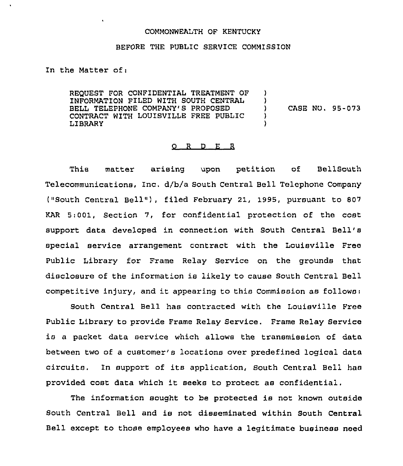## COMMONWEALTH OF KENTUCKY

## BEFORE THE PUBLIC SERVICE COMMISSION

In the Matter of:

 $\ddot{\phantom{a}}$ 

REQUEST FOR CONFIDENTIAL TREATMENT OF INFORMATION FILED WITH SOUTH CENTRAL BELL TELEPHONE COMPANY'S PROPOSED CONTRACT WITH LOUISVILLE FREE PUBLIC LIBRARY ) )<br>) ) CASE NO. 95-073 ) )

## 0 <sup>R</sup> <sup>D</sup> E <sup>R</sup>

This matter arising upon petition of BellSouth Telecommunications, Inc. d/b/a South Central Bell Telephone Company ("South Central Bell" ), filed February 21, 1995, pursuant to <sup>807</sup> KAR 5:001, Section 7, for confidential protection of the cost support data developed in connection with South Central Bell' special service arrangement contract with the Louisville Free Public Library for Frame Relay Service on the grounds that disclosure of the information is likely to cause South Central Bell competitive injury, and it appearing to this Commission as follows:

South Central Bell has contracted with the Louisville Free Public Library to provide Frame Relay Service. Frame Relay Service is a packet data service which allows the transmission of data between two of a customer's locations over predefined logical data circuits. In support of its application, South Central Bell has provided cost data which it seeks to protect as confidential,

The information sought to be protected is not known outside South Central Bell and is not disseminated within South Central Bell except to those employees who have a legitimate business need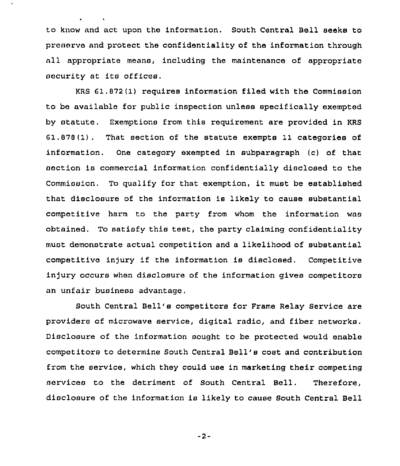to know and act upon the information. South Central Bell seeks to preserve and protect the confidentiality of the information through all appropriate means, including the maintenance of appropriate security at its offices.

KRS 61,872 (1) requires information filed with the Commission to be available for public inspection unless specifically exempted by statute. Hxemptione from this requirement are provided in KRS G1.878(1), That section of the statute exempts 11 categories of information. One category exempted in subparagraph (c) of that section is commercial information confidentially disclosed to the Commission. To qualify for that exemption, it must be established that disclosure of the information is likely to cause substantial competitive harm to the party from whom the information was obtained. To satisfy this test, the party claiming confidentiality must demonstrate actual competition and a likelihood of substantial competitive injury if the information is disclosed. Competitive injury occurs when disclosure of the information gives competitors an unfair business advantage.

South Central Bell's competitors for Frame Relay Service are providers of microwave service, digital radio, and fiber networks. Disclosure of the information sought to be protected would enable competitors to determine South Central Bell's cost and contribution from the service, which they could use in marketing their competing services to the detriment of South Central Bell, Therefore, disclosure of the information is likely to cause South Central Bell

-2-